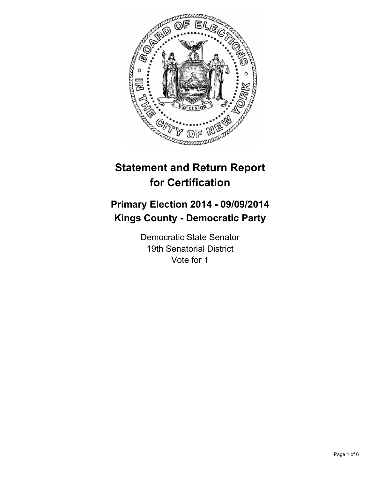

# **Statement and Return Report for Certification**

## **Primary Election 2014 - 09/09/2014 Kings County - Democratic Party**

Democratic State Senator 19th Senatorial District Vote for 1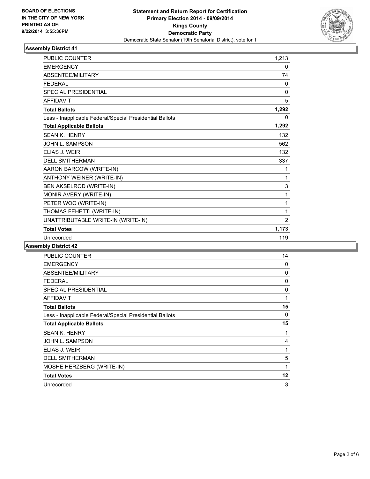

| <b>PUBLIC COUNTER</b>                                    | 1,213        |
|----------------------------------------------------------|--------------|
| <b>EMERGENCY</b>                                         | 0            |
| ABSENTEE/MILITARY                                        | 74           |
| <b>FFDFRAL</b>                                           | 0            |
| <b>SPECIAL PRESIDENTIAL</b>                              | $\mathbf{0}$ |
| <b>AFFIDAVIT</b>                                         | 5            |
| <b>Total Ballots</b>                                     | 1,292        |
| Less - Inapplicable Federal/Special Presidential Ballots | 0            |
| <b>Total Applicable Ballots</b>                          | 1,292        |
| <b>SEAN K. HENRY</b>                                     | 132          |
| JOHN L. SAMPSON                                          | 562          |
| ELIAS J. WEIR                                            | 132          |
| <b>DELL SMITHERMAN</b>                                   | 337          |
| AARON BARCOW (WRITE-IN)                                  | 1            |
| ANTHONY WEINER (WRITE-IN)                                | 1            |
| BEN AKSELROD (WRITE-IN)                                  | 3            |
| MONIR AVERY (WRITE-IN)                                   | 1            |
| PETER WOO (WRITE-IN)                                     | 1            |
| THOMAS FEHETTI (WRITE-IN)                                | 1            |
| UNATTRIBUTABLE WRITE-IN (WRITE-IN)                       | 2            |
| <b>Total Votes</b>                                       | 1,173        |
| Unrecorded                                               | 119          |

| PUBLIC COUNTER                                           | 14 |
|----------------------------------------------------------|----|
| <b>EMERGENCY</b>                                         | 0  |
| ABSENTEE/MILITARY                                        | 0  |
| <b>FEDERAL</b>                                           | 0  |
| <b>SPECIAL PRESIDENTIAL</b>                              | 0  |
| <b>AFFIDAVIT</b>                                         | 1  |
| <b>Total Ballots</b>                                     | 15 |
| Less - Inapplicable Federal/Special Presidential Ballots | 0  |
| <b>Total Applicable Ballots</b>                          | 15 |
| <b>SEAN K. HENRY</b>                                     | 1  |
| JOHN L. SAMPSON                                          | 4  |
| ELIAS J. WEIR                                            | 1  |
| <b>DELL SMITHERMAN</b>                                   | 5  |
| MOSHE HERZBERG (WRITE-IN)                                | 1  |
| <b>Total Votes</b>                                       | 12 |
| Unrecorded                                               | 3  |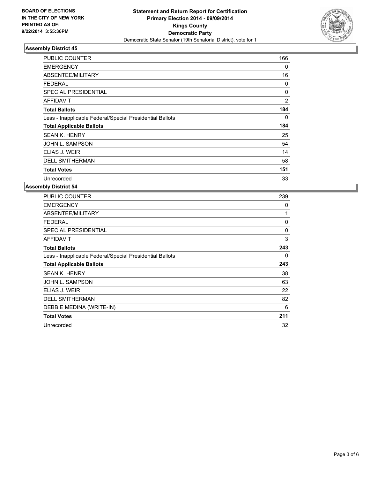

| PUBLIC COUNTER                                           | 166            |
|----------------------------------------------------------|----------------|
| <b>EMERGENCY</b>                                         | 0              |
| ABSENTEE/MILITARY                                        | 16             |
| FEDERAL                                                  | 0              |
| <b>SPECIAL PRESIDENTIAL</b>                              | 0              |
| <b>AFFIDAVIT</b>                                         | $\overline{2}$ |
| <b>Total Ballots</b>                                     | 184            |
| Less - Inapplicable Federal/Special Presidential Ballots | 0              |
| <b>Total Applicable Ballots</b>                          | 184            |
| <b>SEAN K. HENRY</b>                                     | 25             |
| JOHN L. SAMPSON                                          | 54             |
| ELIAS J. WEIR                                            | 14             |
| <b>DELL SMITHERMAN</b>                                   | 58             |
| <b>Total Votes</b>                                       | 151            |
| Unrecorded                                               | 33             |

| PUBLIC COUNTER                                           | 239          |
|----------------------------------------------------------|--------------|
| <b>EMERGENCY</b>                                         | 0            |
| ABSENTEE/MILITARY                                        | 1            |
| <b>FEDERAL</b>                                           | $\mathbf{0}$ |
| <b>SPECIAL PRESIDENTIAL</b>                              | 0            |
| <b>AFFIDAVIT</b>                                         | 3            |
| <b>Total Ballots</b>                                     | 243          |
| Less - Inapplicable Federal/Special Presidential Ballots | 0            |
| <b>Total Applicable Ballots</b>                          | 243          |
| <b>SEAN K. HENRY</b>                                     | 38           |
| JOHN L. SAMPSON                                          | 63           |
| ELIAS J. WEIR                                            | 22           |
| <b>DELL SMITHERMAN</b>                                   | 82           |
|                                                          |              |
| DEBBIE MEDINA (WRITE-IN)                                 | 6            |
| <b>Total Votes</b>                                       | 211          |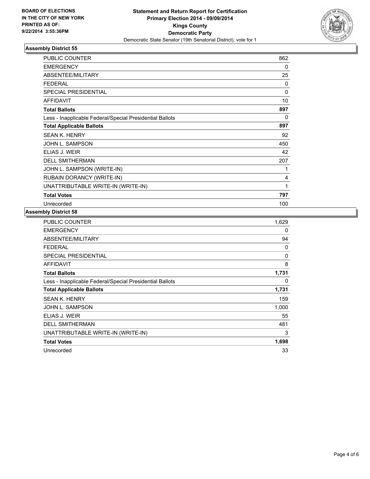

| <b>PUBLIC COUNTER</b>                                    | 862          |
|----------------------------------------------------------|--------------|
| <b>EMERGENCY</b>                                         | 0            |
| ABSENTEE/MILITARY                                        | 25           |
| <b>FEDERAL</b>                                           | 0            |
| <b>SPECIAL PRESIDENTIAL</b>                              | 0            |
| <b>AFFIDAVIT</b>                                         | 10           |
| <b>Total Ballots</b>                                     | 897          |
| Less - Inapplicable Federal/Special Presidential Ballots | 0            |
| <b>Total Applicable Ballots</b>                          | 897          |
| <b>SEAN K. HENRY</b>                                     | 92           |
| JOHN L. SAMPSON                                          | 450          |
| ELIAS J. WEIR                                            | 42           |
| <b>DELL SMITHERMAN</b>                                   | 207          |
| JOHN L. SAMPSON (WRITE-IN)                               | 1            |
| RUBAIN DORANCY (WRITE-IN)                                | 4            |
| UNATTRIBUTABLE WRITE-IN (WRITE-IN)                       | $\mathbf{1}$ |
| <b>Total Votes</b>                                       | 797          |
| Unrecorded                                               | 100          |

| <b>PUBLIC COUNTER</b>                                    | 1,629 |
|----------------------------------------------------------|-------|
| <b>EMERGENCY</b>                                         | 0     |
| ABSENTEE/MILITARY                                        | 94    |
| <b>FEDERAL</b>                                           | 0     |
| <b>SPECIAL PRESIDENTIAL</b>                              | 0     |
| <b>AFFIDAVIT</b>                                         | 8     |
| <b>Total Ballots</b>                                     | 1,731 |
| Less - Inapplicable Federal/Special Presidential Ballots | 0     |
| <b>Total Applicable Ballots</b>                          | 1,731 |
| <b>SEAN K. HENRY</b>                                     | 159   |
| JOHN L. SAMPSON                                          | 1,000 |
| ELIAS J. WEIR                                            | 55    |
| <b>DELL SMITHERMAN</b>                                   | 481   |
| UNATTRIBUTABLE WRITE-IN (WRITE-IN)                       | 3     |
| <b>Total Votes</b>                                       | 1,698 |
| Unrecorded                                               | 33    |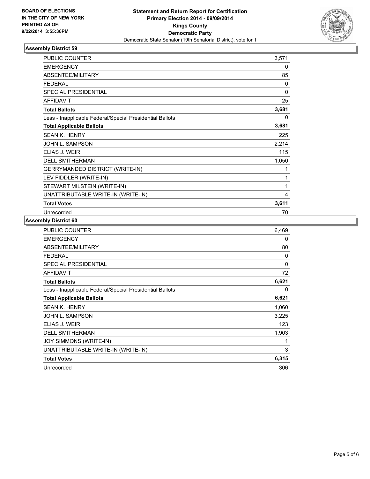

| <b>PUBLIC COUNTER</b>                                    | 3,571 |
|----------------------------------------------------------|-------|
| <b>EMERGENCY</b>                                         | 0     |
| ABSENTEE/MILITARY                                        | 85    |
| <b>FEDERAL</b>                                           | 0     |
| <b>SPECIAL PRESIDENTIAL</b>                              | 0     |
| <b>AFFIDAVIT</b>                                         | 25    |
| <b>Total Ballots</b>                                     | 3,681 |
| Less - Inapplicable Federal/Special Presidential Ballots | 0     |
| <b>Total Applicable Ballots</b>                          | 3,681 |
| <b>SEAN K. HENRY</b>                                     | 225   |
| JOHN L. SAMPSON                                          | 2,214 |
| ELIAS J. WEIR                                            | 115   |
| <b>DELL SMITHERMAN</b>                                   | 1,050 |
| <b>GERRYMANDED DISTRICT (WRITE-IN)</b>                   | 1     |
| LEV FIDDLER (WRITE-IN)                                   | 1     |
| STEWART MILSTEIN (WRITE-IN)                              | 1     |
| UNATTRIBUTABLE WRITE-IN (WRITE-IN)                       | 4     |
| <b>Total Votes</b>                                       | 3,611 |
| Unrecorded                                               | 70    |

| <b>PUBLIC COUNTER</b>                                    | 6.469        |
|----------------------------------------------------------|--------------|
| <b>EMERGENCY</b>                                         | 0            |
| ABSENTEE/MILITARY                                        | 80           |
| <b>FEDERAL</b>                                           | 0            |
| <b>SPECIAL PRESIDENTIAL</b>                              | $\mathbf{0}$ |
| <b>AFFIDAVIT</b>                                         | 72           |
| <b>Total Ballots</b>                                     | 6,621        |
| Less - Inapplicable Federal/Special Presidential Ballots | 0            |
| <b>Total Applicable Ballots</b>                          | 6,621        |
| <b>SEAN K. HENRY</b>                                     | 1,060        |
| JOHN L. SAMPSON                                          | 3,225        |
| ELIAS J. WEIR                                            | 123          |
| <b>DELL SMITHERMAN</b>                                   | 1,903        |
| JOY SIMMONS (WRITE-IN)                                   | 1            |
| UNATTRIBUTABLE WRITE-IN (WRITE-IN)                       | 3            |
| <b>Total Votes</b>                                       | 6,315        |
| Unrecorded                                               | 306          |